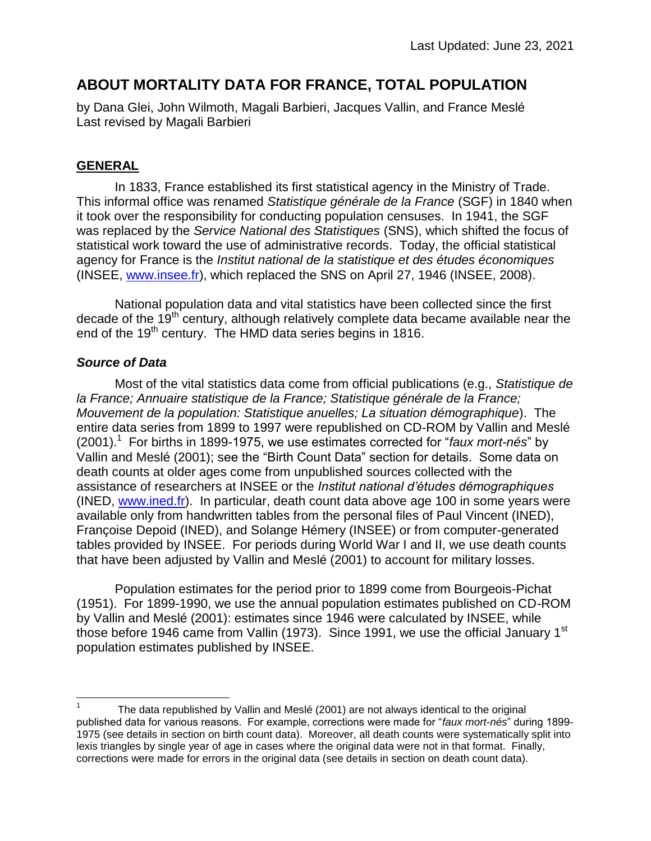# **ABOUT MORTALITY DATA FOR FRANCE, TOTAL POPULATION**

by Dana Glei, John Wilmoth, Magali Barbieri, Jacques Vallin, and France Meslé Last revised by Magali Barbieri

# **GENERAL**

In 1833, France established its first statistical agency in the Ministry of Trade. This informal office was renamed *Statistique générale de la France* (SGF) in 1840 when it took over the responsibility for conducting population censuses. In 1941, the SGF was replaced by the *Service National des Statistiques* (SNS), which shifted the focus of statistical work toward the use of administrative records. Today, the official statistical agency for France is the *Institut national de la statistique et des études économiques* (INSEE, [www.insee.fr\)](http://www.insee.fr/), which replaced the SNS on April 27, 1946 (INSEE, 2008).

National population data and vital statistics have been collected since the first decade of the  $19<sup>th</sup>$  century, although relatively complete data became available near the end of the 19<sup>th</sup> century. The HMD data series begins in 1816.

# *Source of Data*

Most of the vital statistics data come from official publications (e.g., *Statistique de la France; Annuaire statistique de la France; Statistique générale de la France; Mouvement de la population: Statistique anuelles; La situation démographique*). The entire data series from 1899 to 1997 were republished on CD-ROM by Vallin and Meslé (2001).<sup>1</sup> For births in 1899-1975, we use estimates corrected for "*faux mort-nés*" by Vallin and Meslé (2001); see the "Birth Count Data" section for details. Some data on death counts at older ages come from unpublished sources collected with the assistance of researchers at INSEE or the *Institut national d'études démographiques* (INED, [www.ined.fr\)](http://www.ined.fr/). In particular, death count data above age 100 in some years were available only from handwritten tables from the personal files of Paul Vincent (INED), Françoise Depoid (INED), and Solange Hémery (INSEE) or from computer-generated tables provided by INSEE. For periods during World War I and II, we use death counts that have been adjusted by Vallin and Meslé (2001) to account for military losses.

Population estimates for the period prior to 1899 come from Bourgeois-Pichat (1951). For 1899-1990, we use the annual population estimates published on CD-ROM by Vallin and Meslé (2001): estimates since 1946 were calculated by INSEE, while those before 1946 came from Vallin (1973). Since 1991, we use the official January 1<sup>st</sup> population estimates published by INSEE.

 $\overline{a}$ 1 The data republished by Vallin and Meslé (2001) are not always identical to the original published data for various reasons. For example, corrections were made for "*faux mort-nés*" during 1899- 1975 (see details in section on birth count data). Moreover, all death counts were systematically split into lexis triangles by single year of age in cases where the original data were not in that format. Finally, corrections were made for errors in the original data (see details in section on death count data).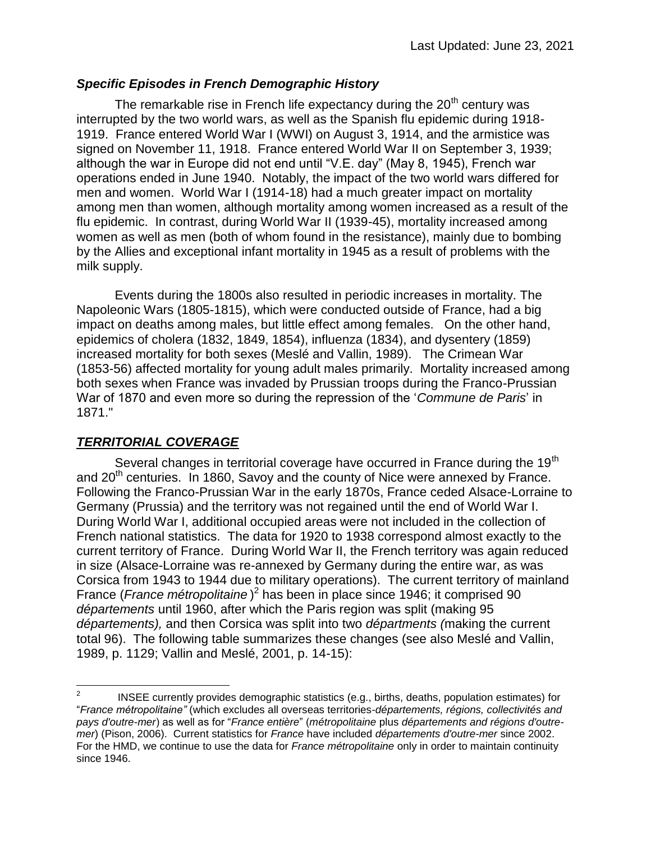#### *Specific Episodes in French Demographic History*

The remarkable rise in French life expectancy during the  $20<sup>th</sup>$  century was interrupted by the two world wars, as well as the Spanish flu epidemic during 1918- 1919. France entered World War I (WWI) on August 3, 1914, and the armistice was signed on November 11, 1918. France entered World War II on September 3, 1939; although the war in Europe did not end until "V.E. day" (May 8, 1945), French war operations ended in June 1940. Notably, the impact of the two world wars differed for men and women. World War I (1914-18) had a much greater impact on mortality among men than women, although mortality among women increased as a result of the flu epidemic. In contrast, during World War II (1939-45), mortality increased among women as well as men (both of whom found in the resistance), mainly due to bombing by the Allies and exceptional infant mortality in 1945 as a result of problems with the milk supply.

Events during the 1800s also resulted in periodic increases in mortality. The Napoleonic Wars (1805-1815), which were conducted outside of France, had a big impact on deaths among males, but little effect among females. On the other hand, epidemics of cholera (1832, 1849, 1854), influenza (1834), and dysentery (1859) increased mortality for both sexes (Meslé and Vallin, 1989). The Crimean War (1853-56) affected mortality for young adult males primarily. Mortality increased among both sexes when France was invaded by Prussian troops during the Franco-Prussian War of 1870 and even more so during the repression of the '*Commune de Paris*' in 1871."

# *TERRITORIAL COVERAGE*

Several changes in territorial coverage have occurred in France during the 19<sup>th</sup> and  $20<sup>th</sup>$  centuries. In 1860, Savoy and the county of Nice were annexed by France. Following the Franco-Prussian War in the early 1870s, France ceded Alsace-Lorraine to Germany (Prussia) and the territory was not regained until the end of World War I. During World War I, additional occupied areas were not included in the collection of French national statistics. The data for 1920 to 1938 correspond almost exactly to the current territory of France. During World War II, the French territory was again reduced in size (Alsace-Lorraine was re-annexed by Germany during the entire war, as was Corsica from 1943 to 1944 due to military operations). The current territory of mainland France (*France métropolitaine* ) 2 has been in place since 1946; it comprised 90 *départements* until 1960, after which the Paris region was split (making 95 *départements),* and then Corsica was split into two *départments (*making the current total 96). The following table summarizes these changes (see also Meslé and Vallin, 1989, p. 1129; Vallin and Meslé, 2001, p. 14-15):

 $\frac{1}{2}$ INSEE currently provides demographic statistics (e.g., births, deaths, population estimates) for "*France métropolitaine"* (which excludes all overseas territories-*départements, régions, collectivités and pays d'outre-mer*) as well as for "*France entière*" (*métropolitaine* plus *départements and régions d'outremer*) (Pison, 2006). Current statistics for *France* have included *départements d'outre-mer* since 2002. For the HMD, we continue to use the data for *France métropolitaine* only in order to maintain continuity since 1946.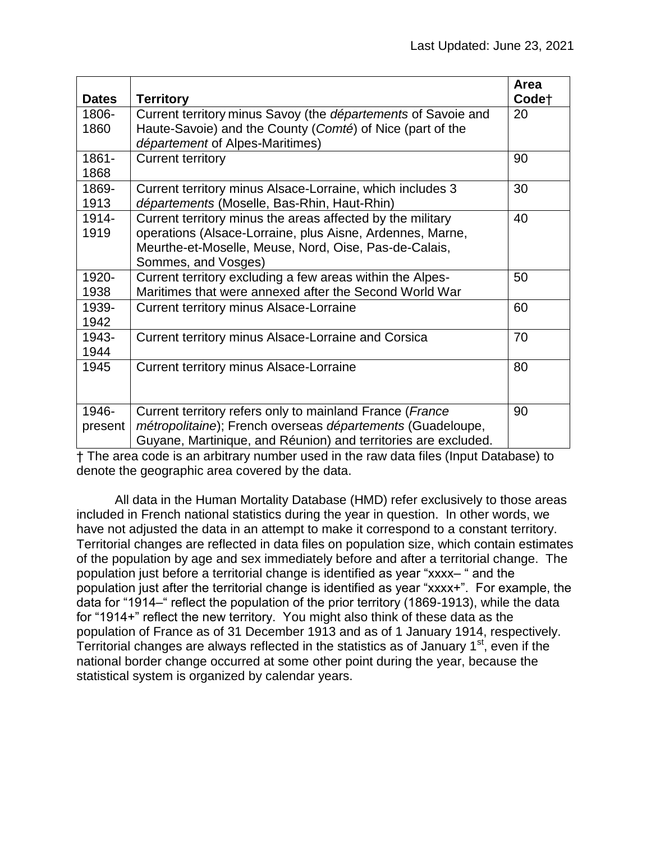| <b>Dates</b>     | <b>Territory</b>                                                                                                                                                                                        | Area<br>Code <sup>+</sup> |
|------------------|---------------------------------------------------------------------------------------------------------------------------------------------------------------------------------------------------------|---------------------------|
| 1806-<br>1860    | Current territory minus Savoy (the départements of Savoie and<br>Haute-Savoie) and the County (Comté) of Nice (part of the<br>département of Alpes-Maritimes)                                           | 20                        |
| 1861-<br>1868    | <b>Current territory</b>                                                                                                                                                                                | 90                        |
| 1869-<br>1913    | Current territory minus Alsace-Lorraine, which includes 3<br>départements (Moselle, Bas-Rhin, Haut-Rhin)                                                                                                | 30                        |
| 1914-<br>1919    | Current territory minus the areas affected by the military<br>operations (Alsace-Lorraine, plus Aisne, Ardennes, Marne,<br>Meurthe-et-Moselle, Meuse, Nord, Oise, Pas-de-Calais,<br>Sommes, and Vosges) | 40                        |
| 1920-<br>1938    | Current territory excluding a few areas within the Alpes-<br>Maritimes that were annexed after the Second World War                                                                                     | 50                        |
| 1939-<br>1942    | <b>Current territory minus Alsace-Lorraine</b>                                                                                                                                                          | 60                        |
| 1943-<br>1944    | Current territory minus Alsace-Lorraine and Corsica                                                                                                                                                     | 70                        |
| 1945             | <b>Current territory minus Alsace-Lorraine</b>                                                                                                                                                          | 80                        |
| 1946-<br>present | Current territory refers only to mainland France (France<br>métropolitaine); French overseas départements (Guadeloupe,<br>Guyane, Martinique, and Réunion) and territories are excluded.                | 90                        |

† The area code is an arbitrary number used in the raw data files (Input Database) to denote the geographic area covered by the data.

All data in the Human Mortality Database (HMD) refer exclusively to those areas included in French national statistics during the year in question. In other words, we have not adjusted the data in an attempt to make it correspond to a constant territory. Territorial changes are reflected in data files on population size, which contain estimates of the population by age and sex immediately before and after a territorial change. The population just before a territorial change is identified as year "xxxx– " and the population just after the territorial change is identified as year "xxxx+". For example, the data for "1914–" reflect the population of the prior territory (1869-1913), while the data for "1914+" reflect the new territory. You might also think of these data as the population of France as of 31 December 1913 and as of 1 January 1914, respectively. Territorial changes are always reflected in the statistics as of January 1<sup>st</sup>, even if the national border change occurred at some other point during the year, because the statistical system is organized by calendar years.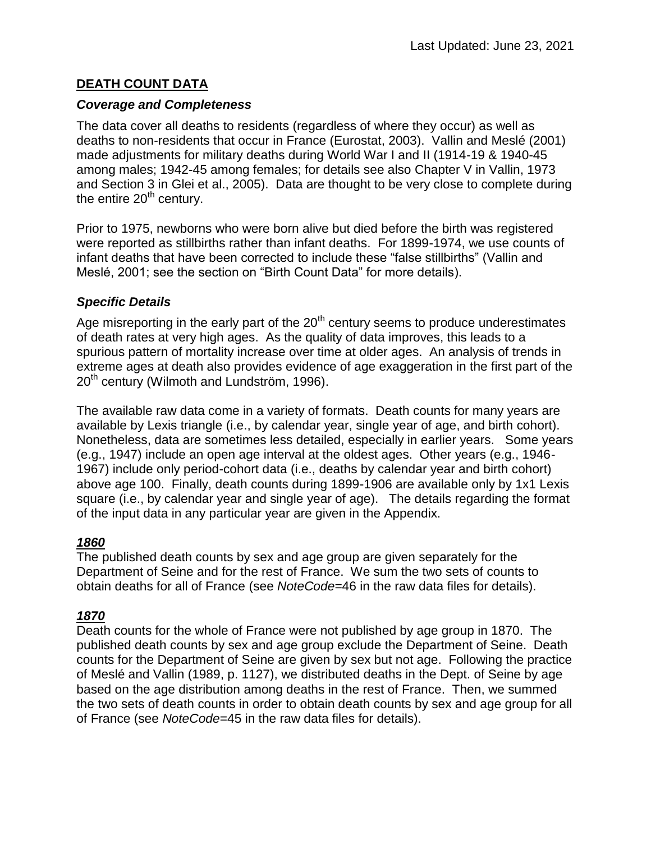# **DEATH COUNT DATA**

#### *Coverage and Completeness*

The data cover all deaths to residents (regardless of where they occur) as well as deaths to non-residents that occur in France (Eurostat, 2003). Vallin and Meslé (2001) made adjustments for military deaths during World War I and II (1914-19 & 1940-45 among males; 1942-45 among females; for details see also Chapter V in Vallin, 1973 and Section 3 in Glei et al., 2005). Data are thought to be very close to complete during the entire  $20<sup>th</sup>$  century.

Prior to 1975, newborns who were born alive but died before the birth was registered were reported as stillbirths rather than infant deaths. For 1899-1974, we use counts of infant deaths that have been corrected to include these "false stillbirths" (Vallin and Meslé, 2001; see the section on "Birth Count Data" for more details).

#### *Specific Details*

Age misreporting in the early part of the  $20<sup>th</sup>$  century seems to produce underestimates of death rates at very high ages. As the quality of data improves, this leads to a spurious pattern of mortality increase over time at older ages. An analysis of trends in extreme ages at death also provides evidence of age exaggeration in the first part of the  $20<sup>th</sup>$  century (Wilmoth and Lundström, 1996).

The available raw data come in a variety of formats. Death counts for many years are available by Lexis triangle (i.e., by calendar year, single year of age, and birth cohort). Nonetheless, data are sometimes less detailed, especially in earlier years. Some years (e.g., 1947) include an open age interval at the oldest ages. Other years (e.g., 1946- 1967) include only period-cohort data (i.e., deaths by calendar year and birth cohort) above age 100. Finally, death counts during 1899-1906 are available only by 1x1 Lexis square (i.e., by calendar year and single year of age). The details regarding the format of the input data in any particular year are given in the Appendix.

# *1860*

The published death counts by sex and age group are given separately for the Department of Seine and for the rest of France. We sum the two sets of counts to obtain deaths for all of France (see *NoteCode=*46 in the raw data files for details).

# *1870*

Death counts for the whole of France were not published by age group in 1870. The published death counts by sex and age group exclude the Department of Seine. Death counts for the Department of Seine are given by sex but not age. Following the practice of Meslé and Vallin (1989, p. 1127), we distributed deaths in the Dept. of Seine by age based on the age distribution among deaths in the rest of France. Then, we summed the two sets of death counts in order to obtain death counts by sex and age group for all of France (see *NoteCode*=45 in the raw data files for details).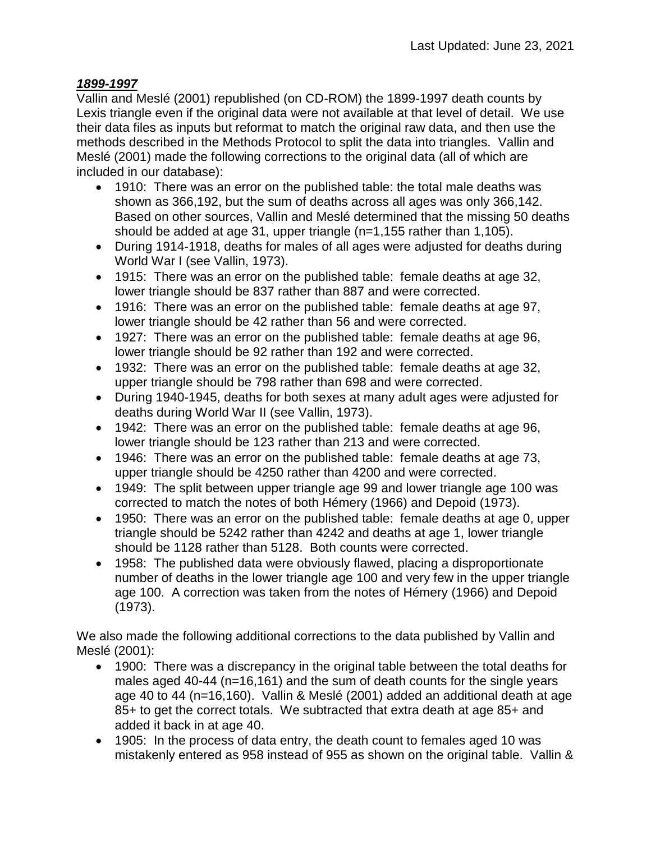# *1899-1997*

Vallin and Meslé (2001) republished (on CD-ROM) the 1899-1997 death counts by Lexis triangle even if the original data were not available at that level of detail. We use their data files as inputs but reformat to match the original raw data, and then use the methods described in the Methods Protocol to split the data into triangles. Vallin and Meslé (2001) made the following corrections to the original data (all of which are included in our database):

- 1910: There was an error on the published table: the total male deaths was shown as 366,192, but the sum of deaths across all ages was only 366,142. Based on other sources, Vallin and Meslé determined that the missing 50 deaths should be added at age 31, upper triangle (n=1,155 rather than 1,105).
- During 1914-1918, deaths for males of all ages were adjusted for deaths during World War I (see Vallin, 1973).
- 1915: There was an error on the published table: female deaths at age 32, lower triangle should be 837 rather than 887 and were corrected.
- 1916: There was an error on the published table: female deaths at age 97, lower triangle should be 42 rather than 56 and were corrected.
- 1927: There was an error on the published table: female deaths at age 96, lower triangle should be 92 rather than 192 and were corrected.
- 1932: There was an error on the published table: female deaths at age 32, upper triangle should be 798 rather than 698 and were corrected.
- During 1940-1945, deaths for both sexes at many adult ages were adjusted for deaths during World War II (see Vallin, 1973).
- 1942: There was an error on the published table: female deaths at age 96, lower triangle should be 123 rather than 213 and were corrected.
- 1946: There was an error on the published table: female deaths at age 73, upper triangle should be 4250 rather than 4200 and were corrected.
- 1949: The split between upper triangle age 99 and lower triangle age 100 was corrected to match the notes of both Hémery (1966) and Depoid (1973).
- 1950: There was an error on the published table: female deaths at age 0, upper triangle should be 5242 rather than 4242 and deaths at age 1, lower triangle should be 1128 rather than 5128. Both counts were corrected.
- 1958: The published data were obviously flawed, placing a disproportionate number of deaths in the lower triangle age 100 and very few in the upper triangle age 100. A correction was taken from the notes of Hémery (1966) and Depoid (1973).

We also made the following additional corrections to the data published by Vallin and Meslé (2001):

- 1900: There was a discrepancy in the original table between the total deaths for males aged 40-44 (n=16,161) and the sum of death counts for the single years age 40 to 44 (n=16,160). Vallin & Meslé (2001) added an additional death at age 85+ to get the correct totals. We subtracted that extra death at age 85+ and added it back in at age 40.
- 1905: In the process of data entry, the death count to females aged 10 was mistakenly entered as 958 instead of 955 as shown on the original table. Vallin &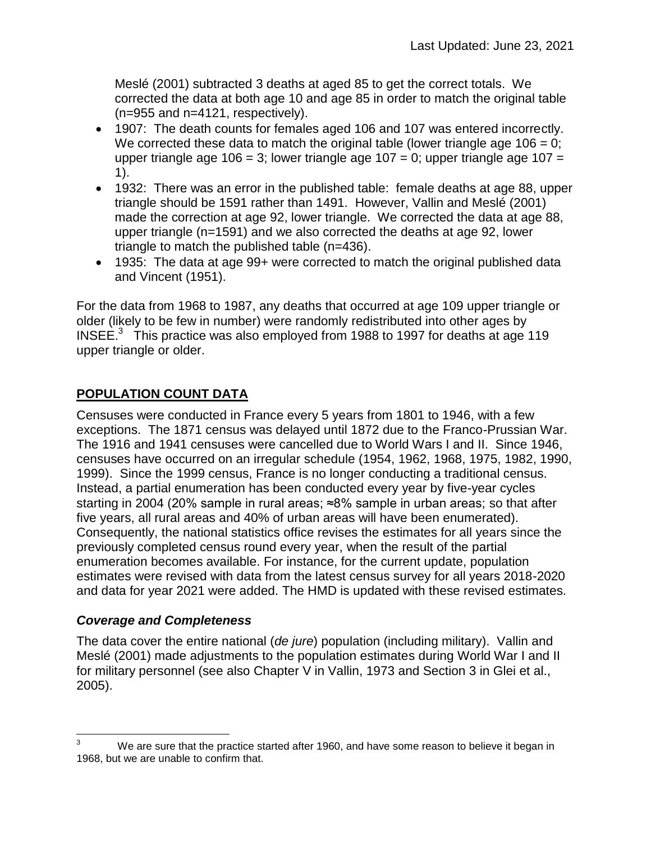Meslé (2001) subtracted 3 deaths at aged 85 to get the correct totals. We corrected the data at both age 10 and age 85 in order to match the original table (n=955 and n=4121, respectively).

- 1907: The death counts for females aged 106 and 107 was entered incorrectly. We corrected these data to match the original table (lower triangle age  $106 = 0$ ; upper triangle age  $106 = 3$ ; lower triangle age  $107 = 0$ ; upper triangle age  $107 = 10$ 1).
- 1932: There was an error in the published table: female deaths at age 88, upper triangle should be 1591 rather than 1491. However, Vallin and Meslé (2001) made the correction at age 92, lower triangle. We corrected the data at age 88, upper triangle (n=1591) and we also corrected the deaths at age 92, lower triangle to match the published table (n=436).
- 1935: The data at age 99+ were corrected to match the original published data and Vincent (1951).

For the data from 1968 to 1987, any deaths that occurred at age 109 upper triangle or older (likely to be few in number) were randomly redistributed into other ages by INSEE. $3$  This practice was also employed from 1988 to 1997 for deaths at age 119 upper triangle or older.

# **POPULATION COUNT DATA**

Censuses were conducted in France every 5 years from 1801 to 1946, with a few exceptions. The 1871 census was delayed until 1872 due to the Franco-Prussian War. The 1916 and 1941 censuses were cancelled due to World Wars I and II. Since 1946, censuses have occurred on an irregular schedule (1954, 1962, 1968, 1975, 1982, 1990, 1999). Since the 1999 census, France is no longer conducting a traditional census. Instead, a partial enumeration has been conducted every year by five-year cycles starting in 2004 (20% sample in rural areas; ≈8% sample in urban areas; so that after five years, all rural areas and 40% of urban areas will have been enumerated). Consequently, the national statistics office revises the estimates for all years since the previously completed census round every year, when the result of the partial enumeration becomes available. For instance, for the current update, population estimates were revised with data from the latest census survey for all years 2018-2020 and data for year 2021 were added. The HMD is updated with these revised estimates.

#### *Coverage and Completeness*

The data cover the entire national (*de jure*) population (including military). Vallin and Meslé (2001) made adjustments to the population estimates during World War I and II for military personnel (see also Chapter V in Vallin, 1973 and Section 3 in Glei et al., 2005).

 $\overline{3}$ We are sure that the practice started after 1960, and have some reason to believe it began in 1968, but we are unable to confirm that.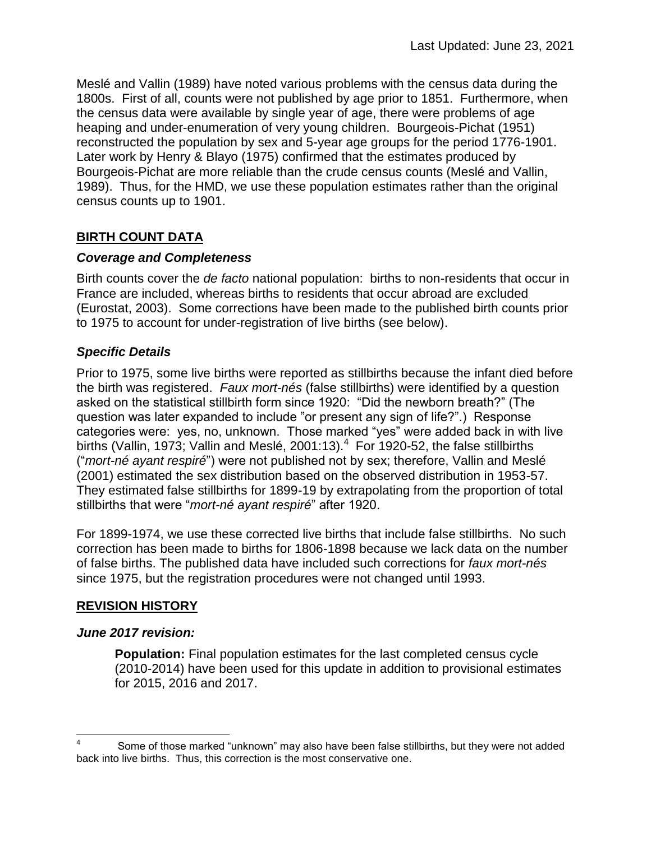Meslé and Vallin (1989) have noted various problems with the census data during the 1800s. First of all, counts were not published by age prior to 1851. Furthermore, when the census data were available by single year of age, there were problems of age heaping and under-enumeration of very young children. Bourgeois-Pichat (1951) reconstructed the population by sex and 5-year age groups for the period 1776-1901. Later work by Henry & Blayo (1975) confirmed that the estimates produced by Bourgeois-Pichat are more reliable than the crude census counts (Meslé and Vallin, 1989). Thus, for the HMD, we use these population estimates rather than the original census counts up to 1901.

# **BIRTH COUNT DATA**

#### *Coverage and Completeness*

Birth counts cover the *de facto* national population: births to non-residents that occur in France are included, whereas births to residents that occur abroad are excluded (Eurostat, 2003). Some corrections have been made to the published birth counts prior to 1975 to account for under-registration of live births (see below).

#### *Specific Details*

Prior to 1975, some live births were reported as stillbirths because the infant died before the birth was registered. *Faux mort-nés* (false stillbirths) were identified by a question asked on the statistical stillbirth form since 1920: "Did the newborn breath?" (The question was later expanded to include "or present any sign of life?".) Response categories were: yes, no, unknown. Those marked "yes" were added back in with live births (Vallin, 1973; Vallin and Meslé, 2001:13). $4$  For 1920-52, the false stillbirths ("*mort-né ayant respiré*") were not published not by sex; therefore, Vallin and Meslé (2001) estimated the sex distribution based on the observed distribution in 1953-57. They estimated false stillbirths for 1899-19 by extrapolating from the proportion of total stillbirths that were "*mort-né ayant respiré*" after 1920.

For 1899-1974, we use these corrected live births that include false stillbirths. No such correction has been made to births for 1806-1898 because we lack data on the number of false births. The published data have included such corrections for *faux mort-nés* since 1975, but the registration procedures were not changed until 1993.

#### **REVISION HISTORY**

#### *June 2017 revision:*

 $\overline{a}$ 

**Population:** Final population estimates for the last completed census cycle (2010-2014) have been used for this update in addition to provisional estimates for 2015, 2016 and 2017.

<sup>4</sup> Some of those marked "unknown" may also have been false stillbirths, but they were not added back into live births. Thus, this correction is the most conservative one.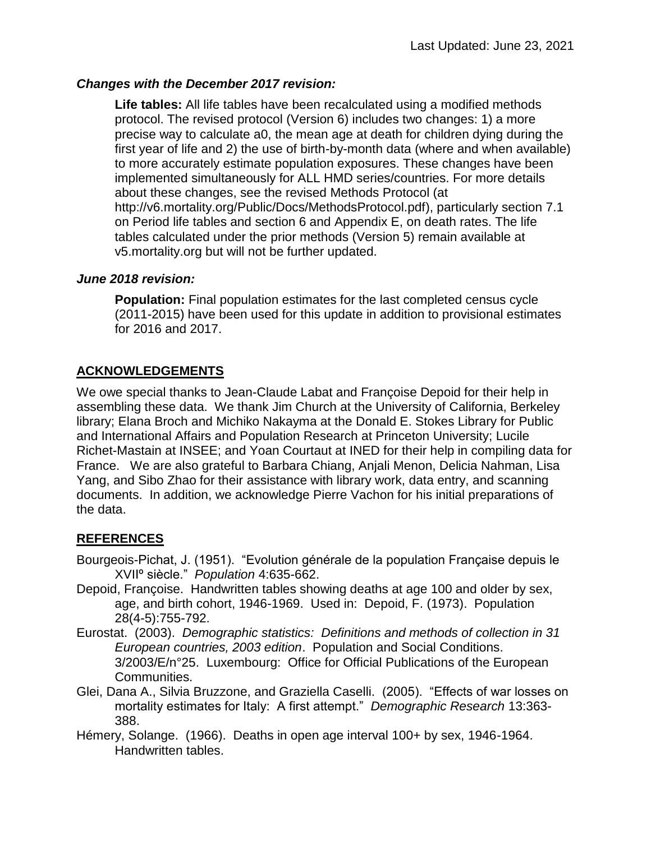#### *Changes with the December 2017 revision:*

**Life tables:** All life tables have been recalculated using a modified methods protocol. The revised protocol (Version 6) includes two changes: 1) a more precise way to calculate a0, the mean age at death for children dying during the first year of life and 2) the use of birth-by-month data (where and when available) to more accurately estimate population exposures. These changes have been implemented simultaneously for ALL HMD series/countries. For more details about these changes, see the revised Methods Protocol (at http://v6.mortality.org/Public/Docs/MethodsProtocol.pdf), particularly section 7.1 on Period life tables and section 6 and Appendix E, on death rates. The life tables calculated under the prior methods (Version 5) remain available at v5.mortality.org but will not be further updated.

#### *June 2018 revision:*

**Population:** Final population estimates for the last completed census cycle (2011-2015) have been used for this update in addition to provisional estimates for 2016 and 2017.

# **ACKNOWLEDGEMENTS**

We owe special thanks to Jean-Claude Labat and Françoise Depoid for their help in assembling these data. We thank Jim Church at the University of California, Berkeley library; Elana Broch and Michiko Nakayma at the Donald E. Stokes Library for Public and International Affairs and Population Research at Princeton University; Lucile Richet-Mastain at INSEE; and Yoan Courtaut at INED for their help in compiling data for France. We are also grateful to Barbara Chiang, Anjali Menon, Delicia Nahman, Lisa Yang, and Sibo Zhao for their assistance with library work, data entry, and scanning documents. In addition, we acknowledge Pierre Vachon for his initial preparations of the data.

# **REFERENCES**

- Bourgeois-Pichat, J. (1951). "Evolution générale de la population Française depuis le XVIIº siècle." *Population* 4:635-662.
- Depoid, Françoise. Handwritten tables showing deaths at age 100 and older by sex, age, and birth cohort, 1946-1969. Used in: Depoid, F. (1973). Population 28(4-5):755-792.
- Eurostat. (2003). *Demographic statistics: Definitions and methods of collection in 31 European countries, 2003 edition*. Population and Social Conditions. 3/2003/E/n°25. Luxembourg: Office for Official Publications of the European Communities.
- Glei, Dana A., Silvia Bruzzone, and Graziella Caselli. (2005). "Effects of war losses on mortality estimates for Italy: A first attempt." *Demographic Research* 13:363- 388.
- Hémery, Solange. (1966). Deaths in open age interval 100+ by sex, 1946-1964. Handwritten tables.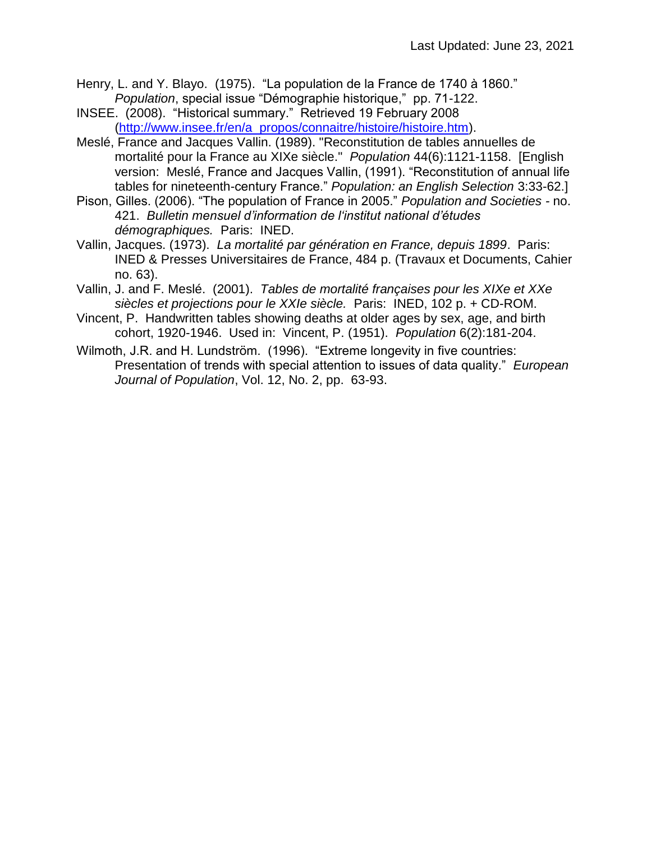- Henry, L. and Y. Blayo. (1975). "La population de la France de 1740 à 1860." *Population*, special issue "Démographie historique," pp. 71-122.
- INSEE. (2008). "Historical summary." Retrieved 19 February 2008 [\(http://www.insee.fr/en/a\\_propos/connaitre/histoire/histoire.htm\)](http://www.insee.fr/en/a_propos/connaitre/histoire/histoire.htm).
- Meslé, France and Jacques Vallin. (1989). "Reconstitution de tables annuelles de mortalité pour la France au XIXe siècle." *Population* 44(6):1121-1158. [English version: Meslé, France and Jacques Vallin, (1991). "Reconstitution of annual life tables for nineteenth-century France." *Population: an English Selection* 3:33-62.]
- Pison, Gilles. (2006). "The population of France in 2005." *Population and Societies -* no. 421. *Bulletin mensuel d'information de l'institut national d'études démographiques.* Paris: INED.
- Vallin, Jacques. (1973). *La mortalité par génération en France, depuis 1899*. Paris: INED & Presses Universitaires de France, 484 p. (Travaux et Documents, Cahier no. 63).
- Vallin, J. and F. Meslé. (2001). *Tables de mortalité françaises pour les XIXe et XXe siècles et projections pour le XXIe siècle.* Paris: INED, 102 p. + CD-ROM.
- Vincent, P. Handwritten tables showing deaths at older ages by sex, age, and birth cohort, 1920-1946. Used in: Vincent, P. (1951). *Population* 6(2):181-204.
- Wilmoth, J.R. and H. Lundström. (1996). "Extreme longevity in five countries: Presentation of trends with special attention to issues of data quality." *European Journal of Population*, Vol. 12, No. 2, pp. 63-93.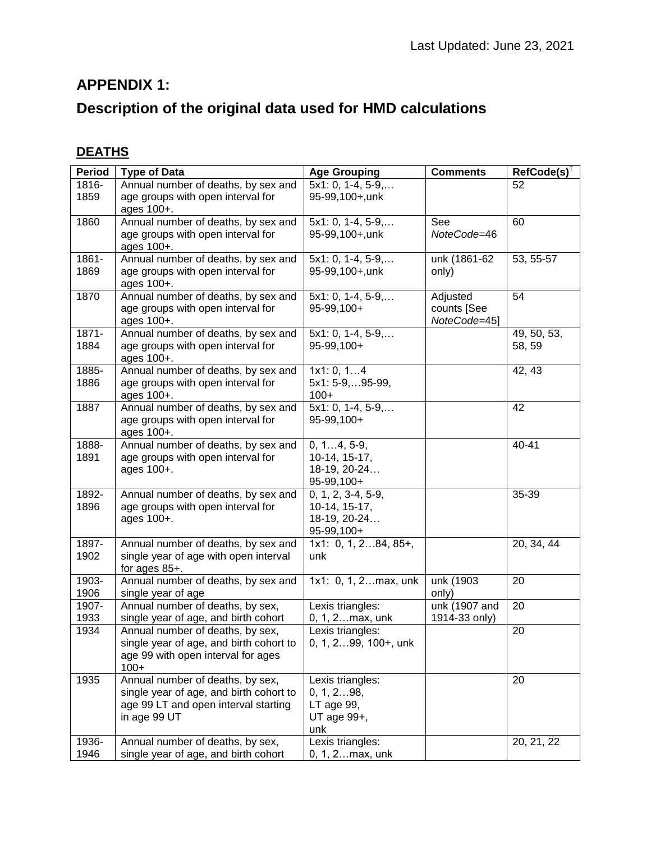# **APPENDIX 1:**

# **Description of the original data used for HMD calculations**

# **DEATHS**

| <b>Period</b> | <b>Type of Data</b>                                                      | <b>Age Grouping</b>                  | <b>Comments</b>       | $RefCode(s)^{\dagger}$ |
|---------------|--------------------------------------------------------------------------|--------------------------------------|-----------------------|------------------------|
| 1816-         | Annual number of deaths, by sex and                                      | $5x1:0, 1-4, 5-9,$                   |                       | 52                     |
| 1859          | age groups with open interval for                                        | 95-99,100+,unk                       |                       |                        |
|               | ages 100+.                                                               |                                      |                       |                        |
| 1860          | Annual number of deaths, by sex and                                      | $5x1:0, 1-4, 5-9,$                   | See                   | 60                     |
|               | age groups with open interval for                                        | 95-99,100+,unk                       | NoteCode=46           |                        |
| 1861-         | ages 100+.<br>Annual number of deaths, by sex and                        |                                      |                       | 53, 55-57              |
| 1869          | age groups with open interval for                                        | $5x1:0, 1-4, 5-9,$<br>95-99,100+,unk | unk (1861-62<br>only) |                        |
|               | ages 100+.                                                               |                                      |                       |                        |
| 1870          | Annual number of deaths, by sex and                                      | $5x1:0, 1-4, 5-9,$                   | Adjusted              | 54                     |
|               | age groups with open interval for                                        | 95-99,100+                           | counts [See           |                        |
|               | ages 100+.                                                               |                                      | NoteCode=45]          |                        |
| $1871 -$      | Annual number of deaths, by sex and                                      | $5x1:0, 1-4, 5-9,$                   |                       | 49, 50, 53,            |
| 1884          | age groups with open interval for<br>ages 100+.                          | 95-99,100+                           |                       | 58, 59                 |
| 1885-         | Annual number of deaths, by sex and                                      | 1x1:0, 14                            |                       | 42, 43                 |
| 1886          | age groups with open interval for                                        | 5x1: 5-9,95-99,                      |                       |                        |
|               | ages 100+.                                                               | $100+$                               |                       |                        |
| 1887          | Annual number of deaths, by sex and                                      | $5x1:0, 1-4, 5-9,$                   |                       | 42                     |
|               | age groups with open interval for                                        | 95-99,100+                           |                       |                        |
| 1888-         | ages 100+.<br>Annual number of deaths, by sex and                        | $\overline{0, 14, 5-9}$ ,            |                       | 40-41                  |
| 1891          | age groups with open interval for                                        | 10-14, 15-17,                        |                       |                        |
|               | ages 100+.                                                               | 18-19, 20-24                         |                       |                        |
|               |                                                                          | 95-99,100+                           |                       |                        |
| 1892-         | Annual number of deaths, by sex and                                      | $0, 1, 2, 3-4, 5-9,$                 |                       | 35-39                  |
| 1896          | age groups with open interval for                                        | 10-14, 15-17,                        |                       |                        |
|               | ages 100+.                                                               | 18-19, 20-24                         |                       |                        |
|               |                                                                          | 95-99,100+                           |                       |                        |
| 1897-         | Annual number of deaths, by sex and                                      | $1x1: 0, 1, 284, 85+,$               |                       | 20, 34, 44             |
| 1902          | single year of age with open interval                                    | unk                                  |                       |                        |
|               | for ages 85+.                                                            |                                      |                       |                        |
| 1903-<br>1906 | Annual number of deaths, by sex and<br>single year of age                | 1x1: 0, 1, 2max, unk                 | unk (1903<br>only)    | 20                     |
| 1907-         | Annual number of deaths, by sex,                                         | Lexis triangles:                     | unk (1907 and         | 20                     |
| 1933          | single year of age, and birth cohort                                     | 0, 1, 2max, unk                      | 1914-33 only)         |                        |
| 1934          | Annual number of deaths, by sex,                                         | Lexis triangles:                     |                       | 20                     |
|               | single year of age, and birth cohort to                                  | 0, 1, 299, 100+, unk                 |                       |                        |
|               | age 99 with open interval for ages                                       |                                      |                       |                        |
|               | $100+$                                                                   |                                      |                       |                        |
| 1935          | Annual number of deaths, by sex,                                         | Lexis triangles:                     |                       | 20                     |
|               | single year of age, and birth cohort to                                  | 0, 1, 298,                           |                       |                        |
|               | age 99 LT and open interval starting                                     | LT age 99,                           |                       |                        |
|               | in age 99 UT                                                             | UT age 99+,                          |                       |                        |
|               |                                                                          | unk                                  |                       |                        |
| 1936-<br>1946 | Annual number of deaths, by sex,<br>single year of age, and birth cohort | Lexis triangles:<br>0, 1, 2max, unk  |                       | 20, 21, 22             |
|               |                                                                          |                                      |                       |                        |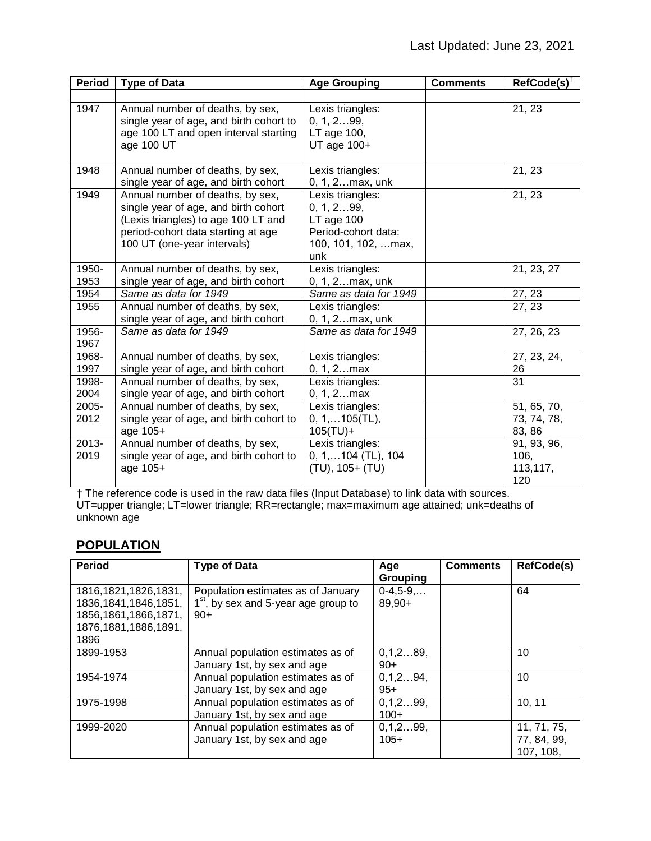| <b>Period</b>    | <b>Type of Data</b>                                                                                                                                                                  | <b>Age Grouping</b>                                                                                    | <b>Comments</b> | $RefCode(s)^T$                         |
|------------------|--------------------------------------------------------------------------------------------------------------------------------------------------------------------------------------|--------------------------------------------------------------------------------------------------------|-----------------|----------------------------------------|
|                  |                                                                                                                                                                                      |                                                                                                        |                 |                                        |
| 1947             | Annual number of deaths, by sex,<br>single year of age, and birth cohort to<br>age 100 LT and open interval starting<br>age 100 UT                                                   | Lexis triangles:<br>0, 1, 299,<br>LT age 100,<br>UT age 100+                                           |                 | 21, 23                                 |
| 1948             | Annual number of deaths, by sex,<br>single year of age, and birth cohort                                                                                                             | Lexis triangles:<br>0, 1, 2max, unk                                                                    |                 | 21, 23                                 |
| 1949             | Annual number of deaths, by sex,<br>single year of age, and birth cohort<br>(Lexis triangles) to age 100 LT and<br>period-cohort data starting at age<br>100 UT (one-year intervals) | Lexis triangles:<br>0, 1, 299,<br>$LT$ age $100$<br>Period-cohort data:<br>100, 101, 102,  max,<br>unk |                 | 21, 23                                 |
| 1950-<br>1953    | Annual number of deaths, by sex,<br>single year of age, and birth cohort                                                                                                             | Lexis triangles:<br>0, 1, 2max, unk                                                                    |                 | 21, 23, 27                             |
| 1954             | Same as data for 1949                                                                                                                                                                | Same as data for 1949                                                                                  |                 | 27, 23                                 |
| 1955             | Annual number of deaths, by sex,<br>single year of age, and birth cohort                                                                                                             | Lexis triangles:<br>0, 1, 2max, unk                                                                    |                 | 27, 23                                 |
| 1956-<br>1967    | Same as data for 1949                                                                                                                                                                | Same as data for 1949                                                                                  |                 | 27, 26, 23                             |
| 1968-<br>1997    | Annual number of deaths, by sex,<br>single year of age, and birth cohort                                                                                                             | Lexis triangles:<br>$0, 1, 2$ max                                                                      |                 | 27, 23, 24,<br>26                      |
| 1998-<br>2004    | Annual number of deaths, by sex,<br>single year of age, and birth cohort                                                                                                             | Lexis triangles:<br>$0, 1, 2$ max                                                                      |                 | 31                                     |
| 2005-            | Annual number of deaths, by sex,                                                                                                                                                     | Lexis triangles:                                                                                       |                 | 51, 65, 70,                            |
| 2012             | single year of age, and birth cohort to<br>age 105+                                                                                                                                  | $0, 1, \ldots 105$ (TL),<br>$105(TU) +$                                                                |                 | 73, 74, 78,<br>83, 86                  |
| $2013 -$<br>2019 | Annual number of deaths, by sex,<br>single year of age, and birth cohort to<br>age 105+                                                                                              | Lexis triangles:<br>$0, 1, \ldots 104$ (TL), 104<br>(TU), 105+ (TU)                                    |                 | 91, 93, 96,<br>106,<br>113,117,<br>120 |

† The reference code is used in the raw data files (Input Database) to link data with sources. UT=upper triangle; LT=lower triangle; RR=rectangle; max=maximum age attained; unk=deaths of unknown age

# **POPULATION**

| <b>Period</b>           | <b>Type of Data</b>                    | Age        | <b>Comments</b> | <b>RefCode(s)</b> |
|-------------------------|----------------------------------------|------------|-----------------|-------------------|
|                         |                                        | Grouping   |                 |                   |
| 1816, 1821, 1826, 1831, | Population estimates as of January     | $0-4,5-9,$ |                 | 64                |
| 1836, 1841, 1846, 1851, | $1st$ , by sex and 5-year age group to | 89,90+     |                 |                   |
| 1856, 1861, 1866, 1871, | $90+$                                  |            |                 |                   |
| 1876, 1881, 1886, 1891, |                                        |            |                 |                   |
| 1896                    |                                        |            |                 |                   |
| 1899-1953               | Annual population estimates as of      | 0, 1, 289, |                 | 10                |
|                         | January 1st, by sex and age            | $90+$      |                 |                   |
| 1954-1974               | Annual population estimates as of      | 0, 1, 294, |                 | 10                |
|                         | January 1st, by sex and age            | $95+$      |                 |                   |
| 1975-1998               | Annual population estimates as of      | 0, 1, 299, |                 | 10, 11            |
|                         | January 1st, by sex and age            | $100+$     |                 |                   |
| 1999-2020               | Annual population estimates as of      | 0, 1, 299, |                 | 11, 71, 75,       |
|                         | January 1st, by sex and age            | $105+$     |                 | 77, 84, 99,       |
|                         |                                        |            |                 | 107, 108,         |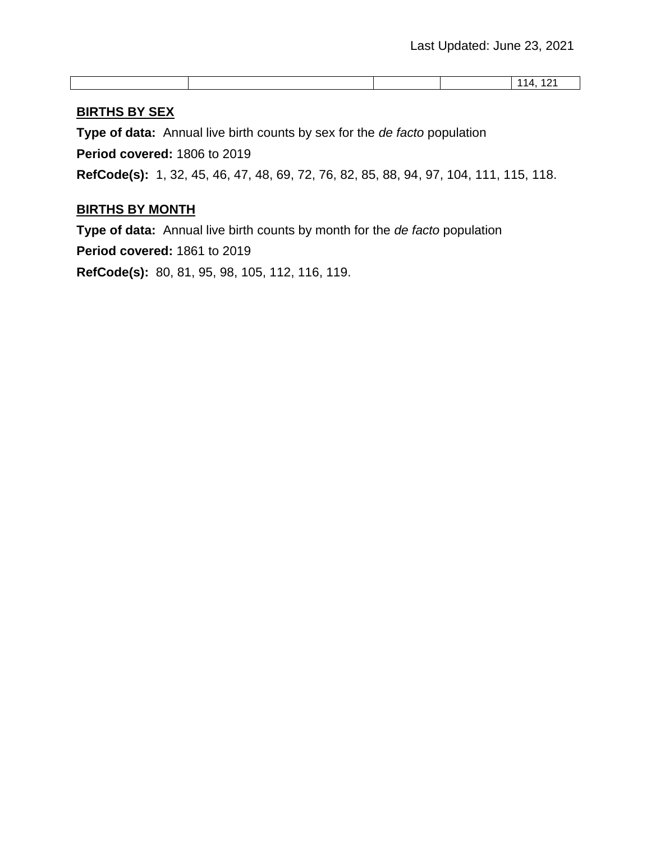#### **BIRTHS BY SEX**

**Type of data:** Annual live birth counts by sex for the *de facto* population

**Period covered:** 1806 to 2019

**RefCode(s):** 1, 32, 45, 46, 47, 48, 69, 72, 76, 82, 85, 88, 94, 97, 104, 111, 115, 118.

#### **BIRTHS BY MONTH**

**Type of data:** Annual live birth counts by month for the *de facto* population

**Period covered:** 1861 to 2019

**RefCode(s):** 80, 81, 95, 98, 105, 112, 116, 119.